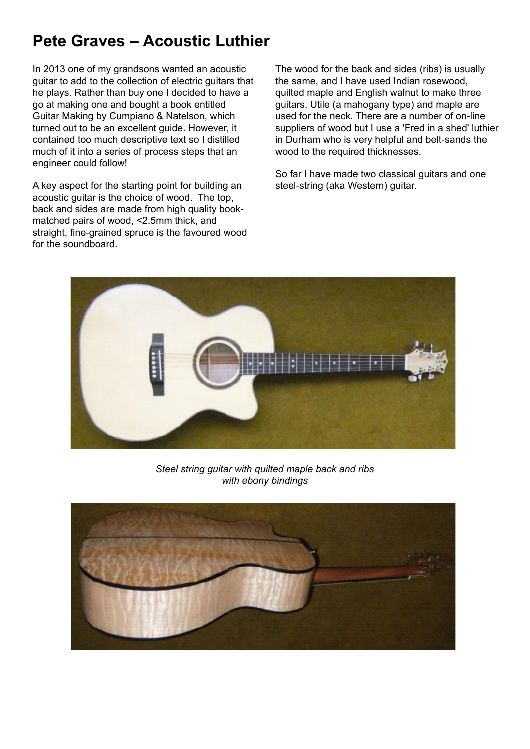## **Pete Graves – Acoustic Luthier**

In 2013 one of my grandsons wanted an acoustic guitar to add to the collection of electric guitars that he plays. Rather than buy one I decided to have a go at making one and bought a book entitled Guitar Making by Cumpiano & Natelson, which turned out to be an excellent guide. However, it contained too much descriptive text so I distilled much of it into a series of process steps that an engineer could follow!

A key aspect for the starting point for building an acoustic guitar is the choice of wood. The top, back and sides are made from high quality bookmatched pairs of wood, <2.5mm thick, and straight, fine-grained spruce is the favoured wood for the soundboard.

The wood for the back and sides (ribs) is usually the same, and I have used Indian rosewood, quilted maple and English walnut to make three guitars. Utile (a mahogany type) and maple are used for the neck. There are a number of on-line suppliers of wood but I use a 'Fred in a shed' luthier in Durham who is very helpful and belt-sands the wood to the required thicknesses.

So far I have made two classical guitars and one steel-string (aka Western) guitar.



## *Steel string guitar with quilted maple back and ribs with ebony bindings*